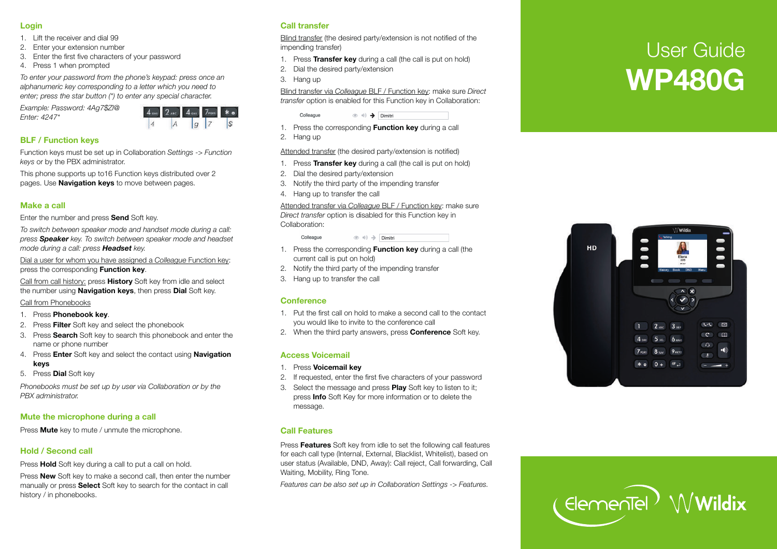#### **Login**

- 1. Lift the receiver and dial 99
- 2. Enter your extension number
- 3. Enter the first five characters of your passwo rd
- 4. P ress 1 when p rompted

*To enter your passwo rd from the phone 's keypad: p ress once an alphanumeric key corresponding to a letter which you need to enter; p ress the star button (\*) to enter any special characte r.* 

*Example: Passwo rd: 4Ag7\$Zl@ Enter: 4247\** 



## **BLF / Function keys**

Function keys must be set up in Collaboration *Settings -> Function keys* or by the PBX administrato r.

This phone supports up to16 Function keys distributed over 2 pages. Use **Navigation keys** to move between pages.

#### **Make a call**

Enter the number and press **Send** Soft key.

*To switch between speaker mode and handset mode during a call: press Speaker key. To switch between speaker mode and headset mode during a call: p ress Headset key.* 

Dial a user for whom you have assigned a *Colleague* Function key: press the corresponding **Function key**.

Call f rom call history: p ress **History** Soft key f rom idle and select the number using **Navigation keys**, then p ress **Dial** Soft ke y.

Call f rom Phonebooks

- 1. P ress **Phonebook key**.
- 2. P ress **Filter** Soft key and select the phonebook
- 3. P ress **Sea rch** Soft key to sea rch this phonebook and enter the name or phone number
- 4. P ress **Enter** Soft key and select the contact using **Navigation keys**
- 5. P ress **Dial** Soft key

*Phonebooks must be set up by user via Collaboration or by the PBX administrato r.* 

## **Mute the mic rophone during a call**

P ress **Mute** key to mute / unmute the mic rophone.

# **Hold / Second call**

Press **Hold** Soft key during a call to put a call on hold.

Press **New** Soft key to make a second call, then enter the number manually or press **Select** Soft key to search for the contact in call history / in phonebooks.

### **Call transfer**

Blind transfer (the desired party/extension is not notified of the impending transfer)

- 1. P ress **Transfer key** during a call (the call is put on hold)
- 2. Dial the desi red party/extension
- 3. Hang up

Blind transfer via *Colleague* BLF / Function key: make sure *Direct transfer* option is enabled for this Function key in Collaboration:

 $\circledcirc \circledast$   $\rightarrow$  Dimitri

- 1. P ress the cor responding **Function key** during a call
- 2. Hang up

Colleague

Attended transfer (the desired party/extension is notified)

- 1. P ress **Transfer key** during a call (the call is put on hold)
- 2. Dial the desi red party/extension
- 3. Notify the thi rd party of the impending transfer
- 4. Hang up to transfer the call

Attended transfer via Colleague BLF / Function key: make sure *Direct transfer* option is disabled for this Function key in Collaboration:

> Colleague  $\circledcirc \Rightarrow$  Dimitri

- 1. P ress the cor responding **Function key** during a call (the cur rent call is put on hold)
- 2. Notify the thi rd party of the impending transfer
- 3. Hang up to transfer the call

#### **Conference**

- 1. Put the first call on hold to make a second call to the contact you would like to invite to the conference call
- 2. When the thi rd party answers, p ress **Confe rence** Soft ke y.

## **Access Voicemail**

- 1. P ress **Voicemail key**
- 2. If requested, enter the first five characters of your passwo rd
- 3. Select the message and p ress **Play** Soft key to listen to it; press **Info** Soft Key for more information or to delete the message.

#### **Call Features**

Press Features Soft key from idle to set the following call features for each call type (Inte rnal, Exte rnal, Blacklist, Whitelist), based on user status (Available, DND, Away): Call reject, Call forwarding, Call Waiting, Mobilit y, Ring Tone.

*Featu res can be also set up in Collaboration Settings -> Featu res.* 

# User Guide **WP480G**